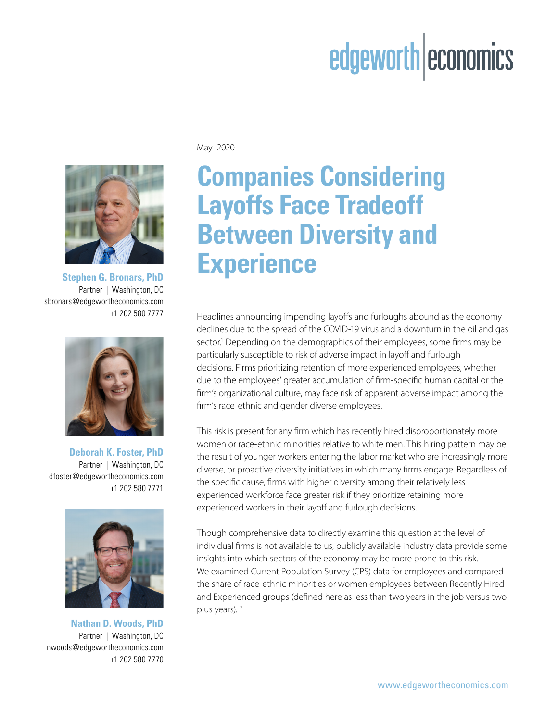# edgeworth economics



**Stephen G. Bronars, PhD** Partner | Washington, DC sbronars@edgewortheconomics.com



**Deborah K. Foster, PhD** Partner | Washington, DC dfoster@edgewortheconomics.com +1 202 580 7771



**Nathan D. Woods, PhD** Partner | Washington, DC nwoods@edgewortheconomics.com +1 202 580 7770

May 2020

# **Companies Considering Layoffs Face Tradeoff Between Diversity and Experience**

+1 202 580 7777 Headlines announcing impending layoffs and furloughs abound as the economy declines due to the spread of the COVID-19 virus and a downturn in the oil and gas sector.<sup>1</sup> Depending on the demographics of their employees, some firms may be particularly susceptible to risk of adverse impact in layoff and furlough decisions. Firms prioritizing retention of more experienced employees, whether due to the employees' greater accumulation of firm-specific human capital or the firm's organizational culture, may face risk of apparent adverse impact among the firm's race-ethnic and gender diverse employees.

> This risk is present for any firm which has recently hired disproportionately more women or race-ethnic minorities relative to white men. This hiring pattern may be the result of younger workers entering the labor market who are increasingly more diverse, or proactive diversity initiatives in which many firms engage. Regardless of the specific cause, firms with higher diversity among their relatively less experienced workforce face greater risk if they prioritize retaining more experienced workers in their layoff and furlough decisions.

> Though comprehensive data to directly examine this question at the level of individual firms is not available to us, publicly available industry data provide some insights into which sectors of the economy may be more prone to this risk. We examined Current Population Survey (CPS) data for employees and compared the share of race-ethnic minorities or women employees between Recently Hired and Experienced groups (defined here as less than two years in the job versus two plus years). 2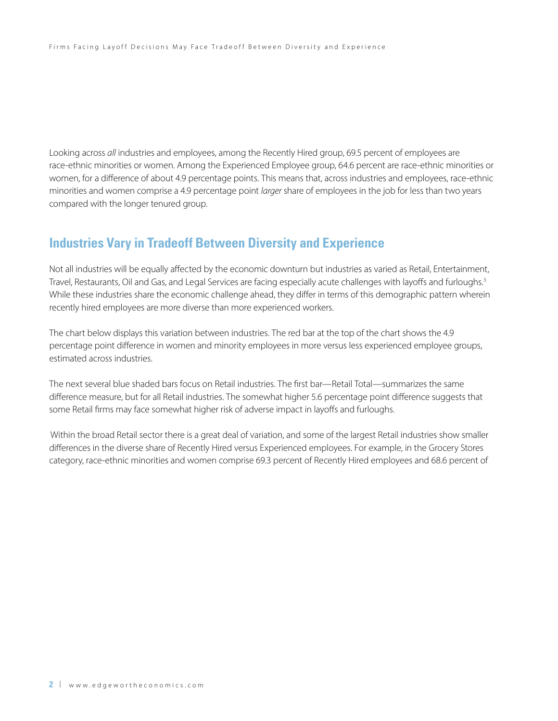Looking across *all* industries and employees, among the Recently Hired group, 69.5 percent of employees are race-ethnic minorities or women. Among the Experienced Employee group, 64.6 percent are race-ethnic minorities or women, for a difference of about 4.9 percentage points. This means that, across industries and employees, race-ethnic minorities and women comprise a 4.9 percentage point *larger* share of employees in the job for less than two years compared with the longer tenured group.

## **Industries Vary in Tradeoff Between Diversity and Experience**

Not all industries will be equally affected by the economic downturn but industries as varied as Retail, Entertainment, Travel, Restaurants, Oil and Gas, and Legal Services are facing especially acute challenges with layoffs and furloughs.<sup>3</sup> While these industries share the economic challenge ahead, they differ in terms of this demographic pattern wherein recently hired employees are more diverse than more experienced workers.

The chart below displays this variation between industries. The red bar at the top of the chart shows the 4.9 percentage point difference in women and minority employees in more versus less experienced employee groups, estimated across industries.

The next several blue shaded bars focus on Retail industries. The first bar—Retail Total—summarizes the same difference measure, but for all Retail industries. The somewhat higher 5.6 percentage point difference suggests that some Retail firms may face somewhat higher risk of adverse impact in layoffs and furloughs.

Within the broad Retail sector there is a great deal of variation, and some of the largest Retail industries show smaller differences in the diverse share of Recently Hired versus Experienced employees. For example, in the Grocery Stores category, race-ethnic minorities and women comprise 69.3 percent of Recently Hired employees and 68.6 percent of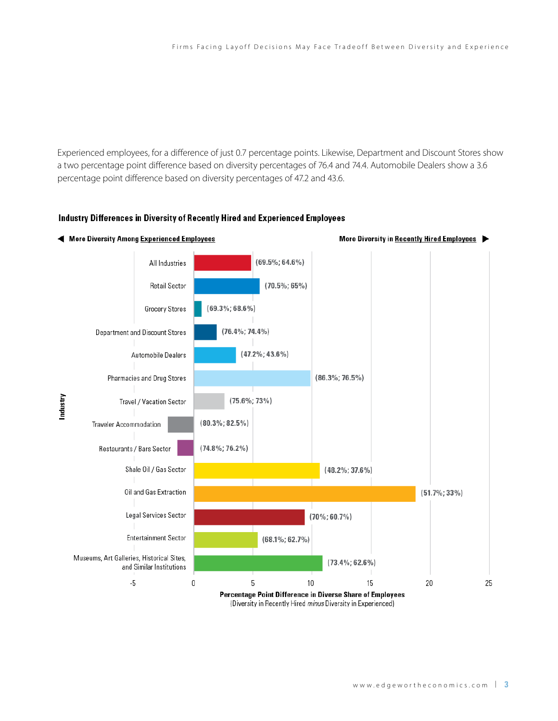Experienced employees, for a difference of just 0.7 percentage points. Likewise, Department and Discount Stores show a two percentage point difference based on diversity percentages of 76.4 and 74.4. Automobile Dealers show a 3.6 percentage point difference based on diversity percentages of 47.2 and 43.6.

#### More Diversity Among Experienced Employees More Diversity in Recently Hired Employees  $(69.5\%; 64.6\%)$ All Industries  $(70.5\%; 65\%)$ **Retail Sector**  $(69.3\%; 68.6\%)$ Grocery Stores  $(76.4\%; 74.4\%)$ Department and Discount Stores  $(47.2\%; 43.6\%)$ Automobile Dealers Pharmacies and Drug Stores  $(86.3\%; 76.5\%)$ Industry  $(75.6\%; 73\%)$ Travel / Vacation Sector  $(80.3\%; 82.5\%)$ Traveler Accommodation  $(74.8\%; 76.2\%)$ Restaurants / Bars Sector Shale Oil / Gas Sector  $(48.2\%; 37.6\%)$ Oil and Gas Extraction  $(51.7\%; 33\%)$ Legal Services Sector  $(70\%; 60.7\%)$ **Entertainment Sector**  $(68.1\%; 62.7\%)$ Museums, Art Galleries, Historical Sites,  $(73.4\%; 62.6\%)$ and Similar Institutions  $-5$  $\mathbf 0$ 5 10 15 20 25 Percentage Point Difference in Diverse Share of Employees (Diversity in Recently Hired minus Diversity in Experienced)

### Industry Differences in Diversity of Recently Hired and Experienced Employees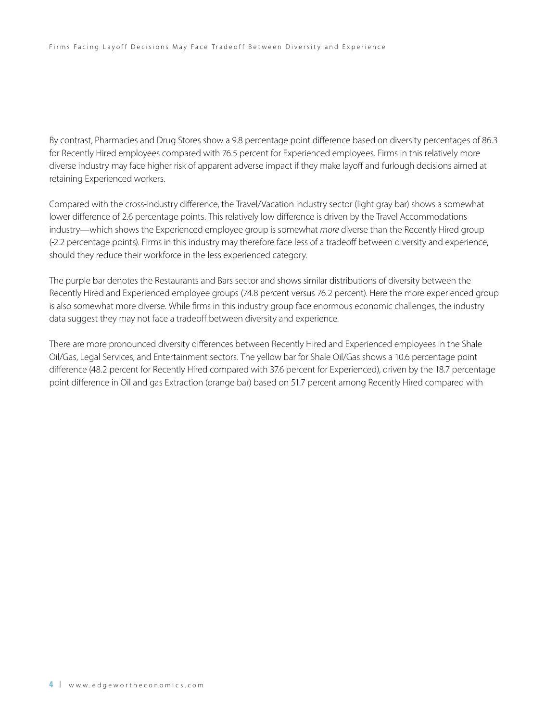By contrast, Pharmacies and Drug Stores show a 9.8 percentage point difference based on diversity percentages of 86.3 for Recently Hired employees compared with 76.5 percent for Experienced employees. Firms in this relatively more diverse industry may face higher risk of apparent adverse impact if they make layoff and furlough decisions aimed at retaining Experienced workers.

Compared with the cross-industry difference, the Travel/Vacation industry sector (light gray bar) shows a somewhat lower difference of 2.6 percentage points. This relatively low difference is driven by the Travel Accommodations industry—which shows the Experienced employee group is somewhat *more* diverse than the Recently Hired group (-2.2 percentage points). Firms in this industry may therefore face less of a tradeoff between diversity and experience, should they reduce their workforce in the less experienced category.

The purple bar denotes the Restaurants and Bars sector and shows similar distributions of diversity between the Recently Hired and Experienced employee groups (74.8 percent versus 76.2 percent). Here the more experienced group is also somewhat more diverse. While firms in this industry group face enormous economic challenges, the industry data suggest they may not face a tradeoff between diversity and experience.

There are more pronounced diversity differences between Recently Hired and Experienced employees in the Shale Oil/Gas, Legal Services, and Entertainment sectors. The yellow bar for Shale Oil/Gas shows a 10.6 percentage point difference (48.2 percent for Recently Hired compared with 37.6 percent for Experienced), driven by the 18.7 percentage point difference in Oil and gas Extraction (orange bar) based on 51.7 percent among Recently Hired compared with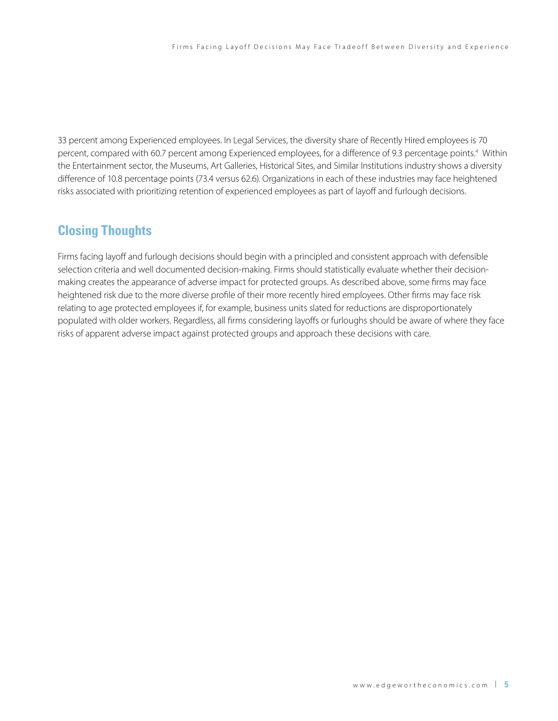33 percent among Experienced employees. In Legal Services, the diversity share of Recently Hired employees is 70 percent, compared with 60.7 percent among Experienced employees, for a difference of 9.3 percentage points.<sup>4</sup> Within the Entertainment sector, the Museums, Art Galleries, Historical Sites, and Similar Institutions industry shows a diversity difference of 10.8 percentage points (73.4 versus 62.6). Organizations in each of these industries may face heightened risks associated with prioritizing retention of experienced employees as part of layoff and furlough decisions.

### **Closing Thoughts**

Firms facing layoff and furlough decisions should begin with a principled and consistent approach with defensible selection criteria and well documented decision-making. Firms should statistically evaluate whether their decisionmaking creates the appearance of adverse impact for protected groups. As described above, some firms may face heightened risk due to the more diverse profile of their more recently hired employees. Other firms may face risk relating to age protected employees if, for example, business units slated for reductions are disproportionately populated with older workers. Regardless, all firms considering layoffs or furloughs should be aware of where they face risks of apparent adverse impact against protected groups and approach these decisions with care.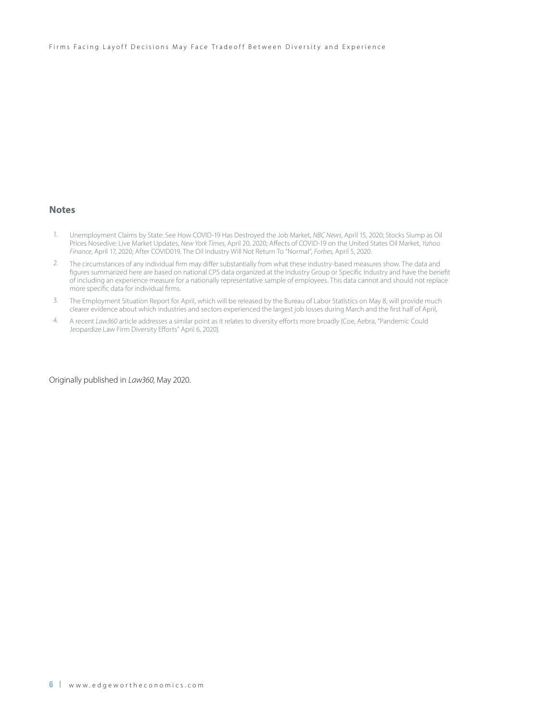Firms Facing Layoff Decisions May Face Tradeoff Between Diversity and Experience

#### **Notes**

- 1. Unemployment Claims by State: See How COVID-19 Has Destroyed the Job Market, *NBC News*, April 15, 2020; Stocks Slump as Oil Prices Nosedive: Live Market Updates, *New York Times*, April 20, 2020; Affects of COVID-19 on the United States Oil Market, *Yahoo Finance*, April 17, 2020; After COVID019, The Oil Industry Will Not Return To "Normal", *Forbes*, April 5, 2020.
- 2. The circumstances of any individual firm may differ substantially from what these industry-based measures show. The data and figures summarized here are based on national CPS data organized at the Industry Group or Specific Industry and have the benefit of including an experience measure for a nationally representative sample of employees. This data cannot and should not replace more specific data for individual firms.
- 3. The Employment Situation Report for April, which will be released by the Bureau of Labor Statistics on May 8, will provide much clearer evidence about which industries and sectors experienced the largest job losses during March and the first half of April,
- 4. A recent *Law360* article addresses a similar point as it relates to diversity efforts more broadly (Coe, Aebra, "Pandemic Could Jeopardize Law Firm Diversity Efforts" April 6, 2020).

Originally published in *Law360*, May 2020.